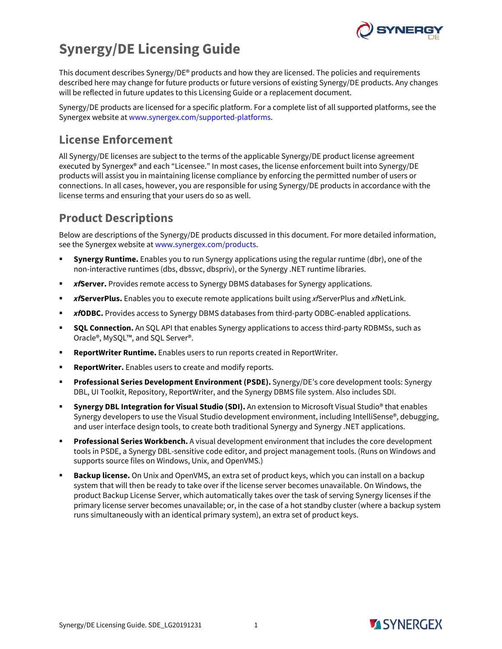

# **Synergy/DE Licensing Guide**

This document describes Synergy/DE® products and how they are licensed. The policies and requirements described here may change for future products or future versions of existing Synergy/DE products. Any changes will be reflected in future updates to this Licensing Guide or a replacement document.

Synergy/DE products are licensed for a specific platform. For a complete list of all supported platforms, see the Synergex website at [www.synergex.com/supported-platforms.](https://www.synergex.com/supported-platforms)

# **License Enforcement**

All Synergy/DE licenses are subject to the terms of the applicable Synergy/DE product license agreement executed by Synergex® and each "Licensee." In most cases, the license enforcement built into Synergy/DE products will assist you in maintaining license compliance by enforcing the permitted number of users or connections. In all cases, however, you are responsible for using Synergy/DE products in accordance with the license terms and ensuring that your users do so as well.

# **Product Descriptions**

Below are descriptions of the Synergy/DE products discussed in this document. For more detailed information, see the Synergex website at [www.synergex.com/products.](http://www.synergex.com/products)

- **Synergy Runtime.** Enables you to run Synergy applications using the regular runtime (dbr), one of the non-interactive runtimes (dbs, dbssvc, dbspriv), or the Synergy .NET runtime libraries.
- *xf***Server.** Provides remote access to Synergy DBMS databases for Synergy applications.
- *xf***ServerPlus.** Enables you to execute remote applications built using *xf*ServerPlus and *xf*NetLink.
- *xfODBC.* Provides access to Synergy DBMS databases from third-party ODBC-enabled applications.
- **SQL Connection.** An SQL API that enables Synergy applications to access third-party RDBMSs, such as Oracle®, MySQL™, and SQL Server®.
- **ReportWriter Runtime.** Enables users to run reports created in ReportWriter.
- **ReportWriter.** Enables users to create and modify reports.
- **Professional Series Development Environment (PSDE).** Synergy/DE's core development tools: Synergy DBL, UI Toolkit, Repository, ReportWriter, and the Synergy DBMS file system. Also includes SDI.
- **Synergy DBL Integration for Visual Studio (SDI).** An extension to Microsoft Visual Studio® that enables Synergy developers to use the Visual Studio development environment, including IntelliSense®, debugging, and user interface design tools, to create both traditional Synergy and Synergy .NET applications.
- **Professional Series Workbench.** A visual development environment that includes the core development tools in PSDE, a Synergy DBL-sensitive code editor, and project management tools. (Runs on Windows and supports source files on Windows, Unix, and OpenVMS.)
- **Backup license.** On Unix and OpenVMS, an extra set of product keys, which you can install on a backup system that will then be ready to take over if the license server becomes unavailable. On Windows, the product Backup License Server, which automatically takes over the task of serving Synergy licenses if the primary license server becomes unavailable; or, in the case of a hot standby cluster (where a backup system runs simultaneously with an identical primary system), an extra set of product keys.

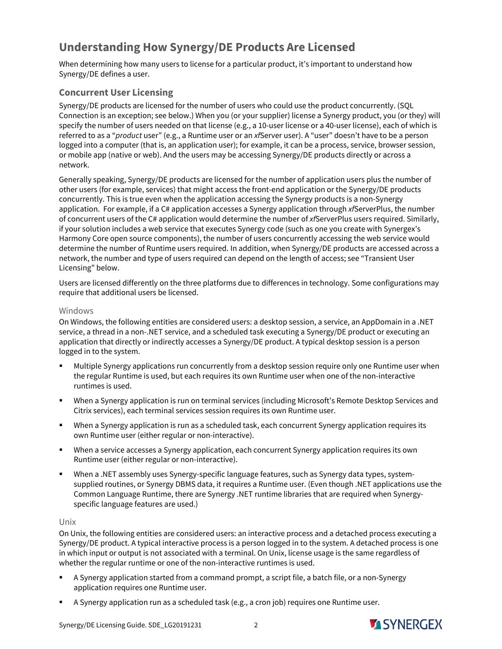# **Understanding How Synergy/DE Products Are Licensed**

When determining how many users to license for a particular product, it's important to understand how Synergy/DE defines a user.

# **Concurrent User Licensing**

Synergy/DE products are licensed for the number of users who could use the product concurrently. (SQL Connection is an exception; see below.) When you (or your supplier) license a Synergy product, you (or they) will specify the number of users needed on that license (e.g., a 10-user license or a 40-user license), each of which is referred to as a "*product* user" (e.g., a Runtime user or an *xf*Server user). A "user" doesn't have to be a person logged into a computer (that is, an application user); for example, it can be a process, service, browser session, or mobile app (native or web). And the users may be accessing Synergy/DE products directly or across a network.

Generally speaking, Synergy/DE products are licensed for the number of application users plus the number of other users (for example, services) that might access the front-end application or the Synergy/DE products concurrently. This is true even when the application accessing the Synergy products is a non-Synergy application. For example, if a C# application accesses a Synergy application through *xf*ServerPlus, the number of concurrent users of the C# application would determine the number of *xf*ServerPlus users required. Similarly, if your solution includes a web service that executes Synergy code (such as one you create with Synergex's Harmony Core open source components), the number of users concurrently accessing the web service would determine the number of Runtime users required. In addition, when Synergy/DE products are accessed across a network, the number and type of users required can depend on the length of access; see "Transient User Licensing" below.

Users are licensed differently on the three platforms due to differences in technology. Some configurations may require that additional users be licensed.

#### Windows

On Windows, the following entities are considered users: a desktop session, a service, an AppDomain in a .NET service, a thread in a non-.NET service, and a scheduled task executing a Synergy/DE product or executing an application that directly or indirectly accesses a Synergy/DE product. A typical desktop session is a person logged in to the system.

- Multiple Synergy applications run concurrently from a desktop session require only one Runtime user when the regular Runtime is used, but each requires its own Runtime user when one of the non-interactive runtimes is used.
- When a Synergy application is run on terminal services (including Microsoft's Remote Desktop Services and Citrix services), each terminal services session requires its own Runtime user.
- When a Synergy application is run as a scheduled task, each concurrent Synergy application requires its own Runtime user (either regular or non-interactive).
- When a service accesses a Synergy application, each concurrent Synergy application requires its own Runtime user (either regular or non-interactive).
- When a .NET assembly uses Synergy-specific language features, such as Synergy data types, systemsupplied routines, or Synergy DBMS data, it requires a Runtime user. (Even though .NET applications use the Common Language Runtime, there are Synergy .NET runtime libraries that are required when Synergyspecific language features are used.)

#### Unix

On Unix, the following entities are considered users: an interactive process and a detached process executing a Synergy/DE product. A typical interactive process is a person logged in to the system. A detached process is one in which input or output is not associated with a terminal. On Unix, license usage is the same regardless of whether the regular runtime or one of the non-interactive runtimes is used.

- A Synergy application started from a command prompt, a script file, a batch file, or a non-Synergy application requires one Runtime user.
- A Synergy application run as a scheduled task (e.g., a cron job) requires one Runtime user.